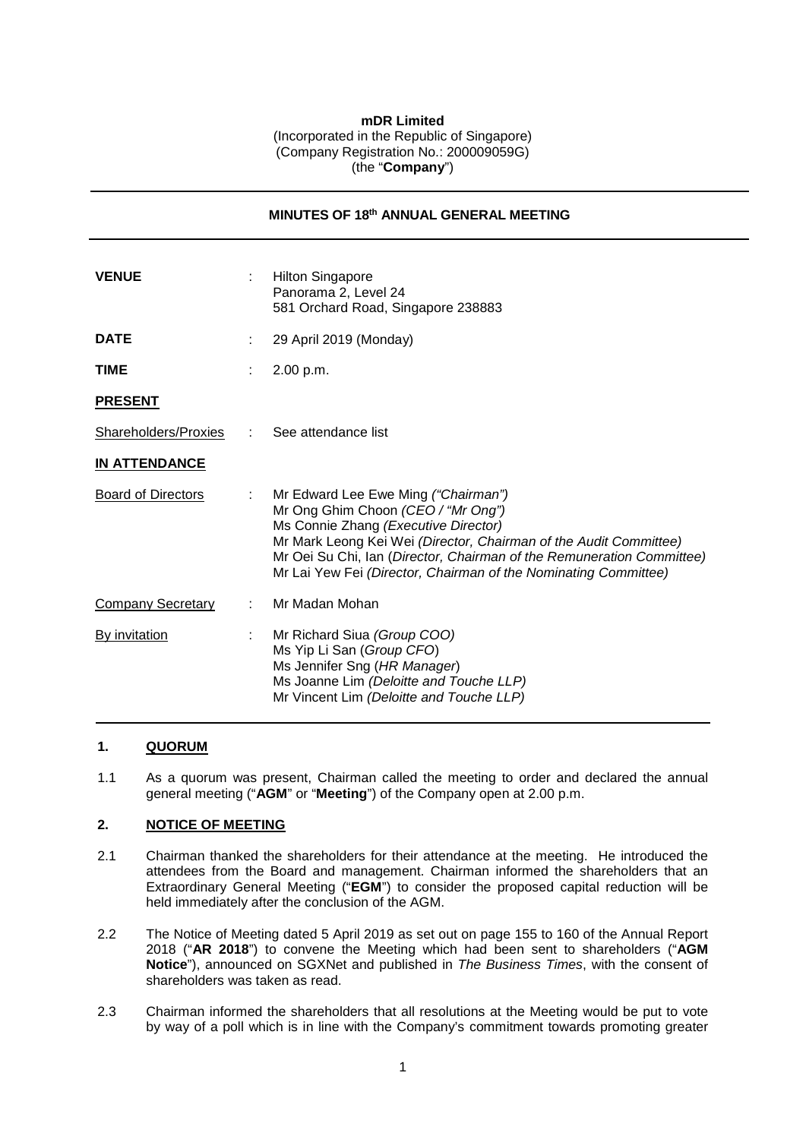## **mDR Limited** (Incorporated in the Republic of Singapore) (Company Registration No.: 200009059G) (the "**Company**")

**MINUTES OF 18th ANNUAL GENERAL MEETING**

| <b>VENUE</b>              | <b>Hilton Singapore</b><br>Panorama 2, Level 24<br>581 Orchard Road, Singapore 238883                                                                                                                                                                                                                                              |
|---------------------------|------------------------------------------------------------------------------------------------------------------------------------------------------------------------------------------------------------------------------------------------------------------------------------------------------------------------------------|
| <b>DATE</b>               | 29 April 2019 (Monday)                                                                                                                                                                                                                                                                                                             |
| <b>TIME</b>               | 2.00 p.m.                                                                                                                                                                                                                                                                                                                          |
| <b>PRESENT</b>            |                                                                                                                                                                                                                                                                                                                                    |
| Shareholders/Proxies :    | See attendance list                                                                                                                                                                                                                                                                                                                |
| <b>IN ATTENDANCE</b>      |                                                                                                                                                                                                                                                                                                                                    |
| <b>Board of Directors</b> | Mr Edward Lee Ewe Ming ("Chairman")<br>Mr Ong Ghim Choon (CEO / "Mr Ong")<br>Ms Connie Zhang (Executive Director)<br>Mr Mark Leong Kei Wei (Director, Chairman of the Audit Committee)<br>Mr Oei Su Chi, Ian (Director, Chairman of the Remuneration Committee)<br>Mr Lai Yew Fei (Director, Chairman of the Nominating Committee) |
| <b>Company Secretary</b>  | Mr Madan Mohan                                                                                                                                                                                                                                                                                                                     |
| <b>By invitation</b>      | Mr Richard Siua (Group COO)<br>Ms Yip Li San (Group CFO)<br>Ms Jennifer Sng (HR Manager)<br>Ms Joanne Lim (Deloitte and Touche LLP)<br>Mr Vincent Lim (Deloitte and Touche LLP)                                                                                                                                                    |

## **1. QUORUM**

1.1 As a quorum was present, Chairman called the meeting to order and declared the annual general meeting ("**AGM**" or "**Meeting**") of the Company open at 2.00 p.m.

# **2. NOTICE OF MEETING**

- 2.1 Chairman thanked the shareholders for their attendance at the meeting. He introduced the attendees from the Board and management. Chairman informed the shareholders that an Extraordinary General Meeting ("**EGM**") to consider the proposed capital reduction will be held immediately after the conclusion of the AGM.
- 2.2 The Notice of Meeting dated 5 April 2019 as set out on page 155 to 160 of the Annual Report 2018 ("**AR 2018**") to convene the Meeting which had been sent to shareholders ("**AGM Notice**"), announced on SGXNet and published in *The Business Times*, with the consent of shareholders was taken as read.
- 2.3 Chairman informed the shareholders that all resolutions at the Meeting would be put to vote by way of a poll which is in line with the Company's commitment towards promoting greater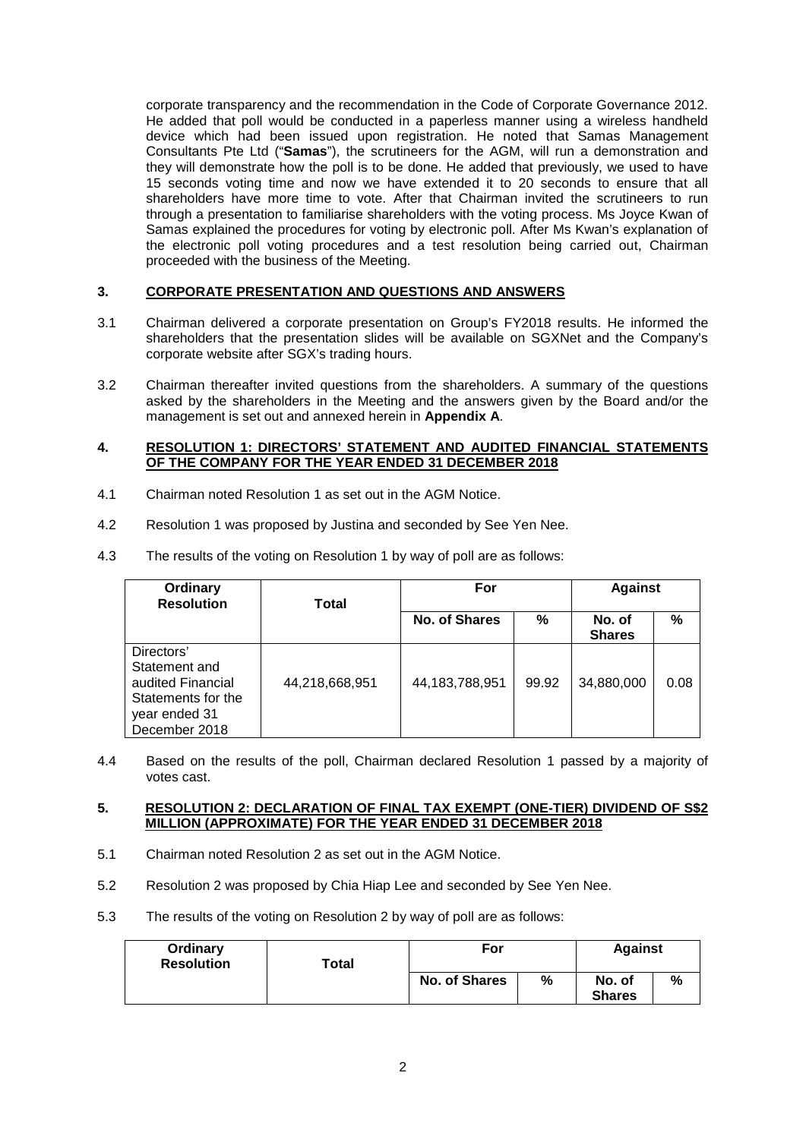corporate transparency and the recommendation in the Code of Corporate Governance 2012. He added that poll would be conducted in a paperless manner using a wireless handheld device which had been issued upon registration. He noted that Samas Management Consultants Pte Ltd ("**Samas**"), the scrutineers for the AGM, will run a demonstration and they will demonstrate how the poll is to be done. He added that previously, we used to have 15 seconds voting time and now we have extended it to 20 seconds to ensure that all shareholders have more time to vote. After that Chairman invited the scrutineers to run through a presentation to familiarise shareholders with the voting process. Ms Joyce Kwan of Samas explained the procedures for voting by electronic poll. After Ms Kwan's explanation of the electronic poll voting procedures and a test resolution being carried out, Chairman proceeded with the business of the Meeting.

# **3. CORPORATE PRESENTATION AND QUESTIONS AND ANSWERS**

- 3.1 Chairman delivered a corporate presentation on Group's FY2018 results. He informed the shareholders that the presentation slides will be available on SGXNet and the Company's corporate website after SGX's trading hours.
- 3.2 Chairman thereafter invited questions from the shareholders. A summary of the questions asked by the shareholders in the Meeting and the answers given by the Board and/or the management is set out and annexed herein in **Appendix A**.

### **4. RESOLUTION 1: DIRECTORS' STATEMENT AND AUDITED FINANCIAL STATEMENTS OF THE COMPANY FOR THE YEAR ENDED 31 DECEMBER 2018**

- 4.1 Chairman noted Resolution 1 as set out in the AGM Notice.
- 4.2 Resolution 1 was proposed by Justina and seconded by See Yen Nee.
- 4.3 The results of the voting on Resolution 1 by way of poll are as follows:

| Ordinary<br><b>Resolution</b>                                                                            | Total          | For               |       | <b>Against</b>          |      |
|----------------------------------------------------------------------------------------------------------|----------------|-------------------|-------|-------------------------|------|
|                                                                                                          |                | No. of Shares     | %     | No. of<br><b>Shares</b> | %    |
| Directors'<br>Statement and<br>audited Financial<br>Statements for the<br>year ended 31<br>December 2018 | 44,218,668,951 | 44, 183, 788, 951 | 99.92 | 34,880,000              | 0.08 |

4.4 Based on the results of the poll, Chairman declared Resolution 1 passed by a majority of votes cast.

## **5. RESOLUTION 2: DECLARATION OF FINAL TAX EXEMPT (ONE-TIER) DIVIDEND OF S\$2 MILLION (APPROXIMATE) FOR THE YEAR ENDED 31 DECEMBER 2018**

- 5.1 Chairman noted Resolution 2 as set out in the AGM Notice.
- 5.2 Resolution 2 was proposed by Chia Hiap Lee and seconded by See Yen Nee.
- 5.3 The results of the voting on Resolution 2 by way of poll are as follows:

| Ordinary<br><b>Resolution</b> | $\sf{Total}$ | For                  |   | <b>Against</b>          |   |
|-------------------------------|--------------|----------------------|---|-------------------------|---|
|                               |              | <b>No. of Shares</b> | % | No. of<br><b>Shares</b> | % |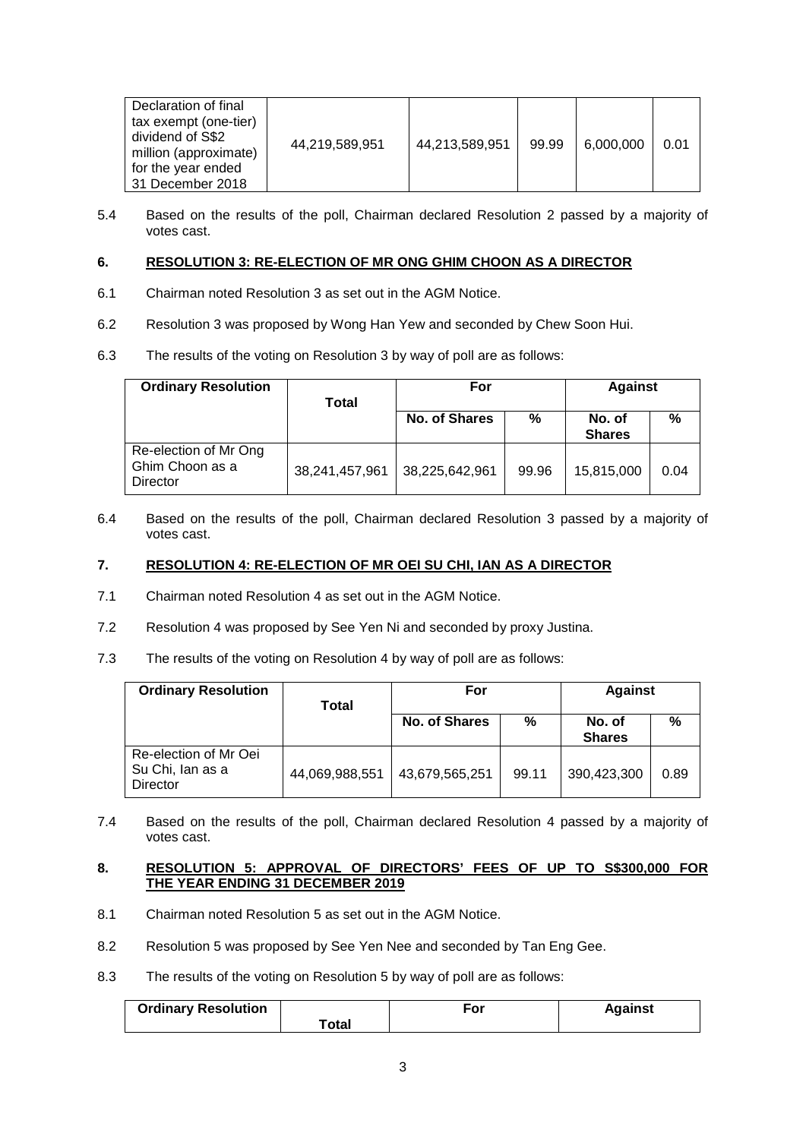| Declaration of final<br>tax exempt (one-tier)<br>dividend of S\$2<br>million (approximate)<br>for the year ended<br>31 December 2018 | 44,219,589,951 | 44,213,589,951 | 99.99 | 6,000,000 | 0.01 |
|--------------------------------------------------------------------------------------------------------------------------------------|----------------|----------------|-------|-----------|------|
|--------------------------------------------------------------------------------------------------------------------------------------|----------------|----------------|-------|-----------|------|

5.4 Based on the results of the poll, Chairman declared Resolution 2 passed by a majority of votes cast.

# **6. RESOLUTION 3: RE-ELECTION OF MR ONG GHIM CHOON AS A DIRECTOR**

- 6.1 Chairman noted Resolution 3 as set out in the AGM Notice.
- 6.2 Resolution 3 was proposed by Wong Han Yew and seconded by Chew Soon Hui.
- 6.3 The results of the voting on Resolution 3 by way of poll are as follows:

| <b>Ordinary Resolution</b>                           | <b>Total</b>   | For                  |       | <b>Against</b>          |      |
|------------------------------------------------------|----------------|----------------------|-------|-------------------------|------|
|                                                      |                | <b>No. of Shares</b> | %     | No. of<br><b>Shares</b> | %    |
| Re-election of Mr Ong<br>Ghim Choon as a<br>Director | 38,241,457,961 | 38,225,642,961       | 99.96 | 15,815,000              | 0.04 |

6.4 Based on the results of the poll, Chairman declared Resolution 3 passed by a majority of votes cast.

# **7. RESOLUTION 4: RE-ELECTION OF MR OEI SU CHI, IAN AS A DIRECTOR**

- 7.1 Chairman noted Resolution 4 as set out in the AGM Notice.
- 7.2 Resolution 4 was proposed by See Yen Ni and seconded by proxy Justina.
- 7.3 The results of the voting on Resolution 4 by way of poll are as follows:

| <b>Ordinary Resolution</b>                                   | Total          | For            |       | <b>Against</b>          |      |
|--------------------------------------------------------------|----------------|----------------|-------|-------------------------|------|
|                                                              |                | No. of Shares  | %     | No. of<br><b>Shares</b> | %    |
| Re-election of Mr Oei<br>Su Chi, Ian as a<br><b>Director</b> | 44,069,988,551 | 43,679,565,251 | 99.11 | 390,423,300             | 0.89 |

7.4 Based on the results of the poll, Chairman declared Resolution 4 passed by a majority of votes cast.

# **8. RESOLUTION 5: APPROVAL OF DIRECTORS' FEES OF UP TO S\$300,000 FOR THE YEAR ENDING 31 DECEMBER 2019**

- 8.1 Chairman noted Resolution 5 as set out in the AGM Notice.
- 8.2 Resolution 5 was proposed by See Yen Nee and seconded by Tan Eng Gee.
- 8.3 The results of the voting on Resolution 5 by way of poll are as follows:

| <b>Ordinary Resolution</b> |       | For | <b>Against</b> |
|----------------------------|-------|-----|----------------|
|                            | Total |     |                |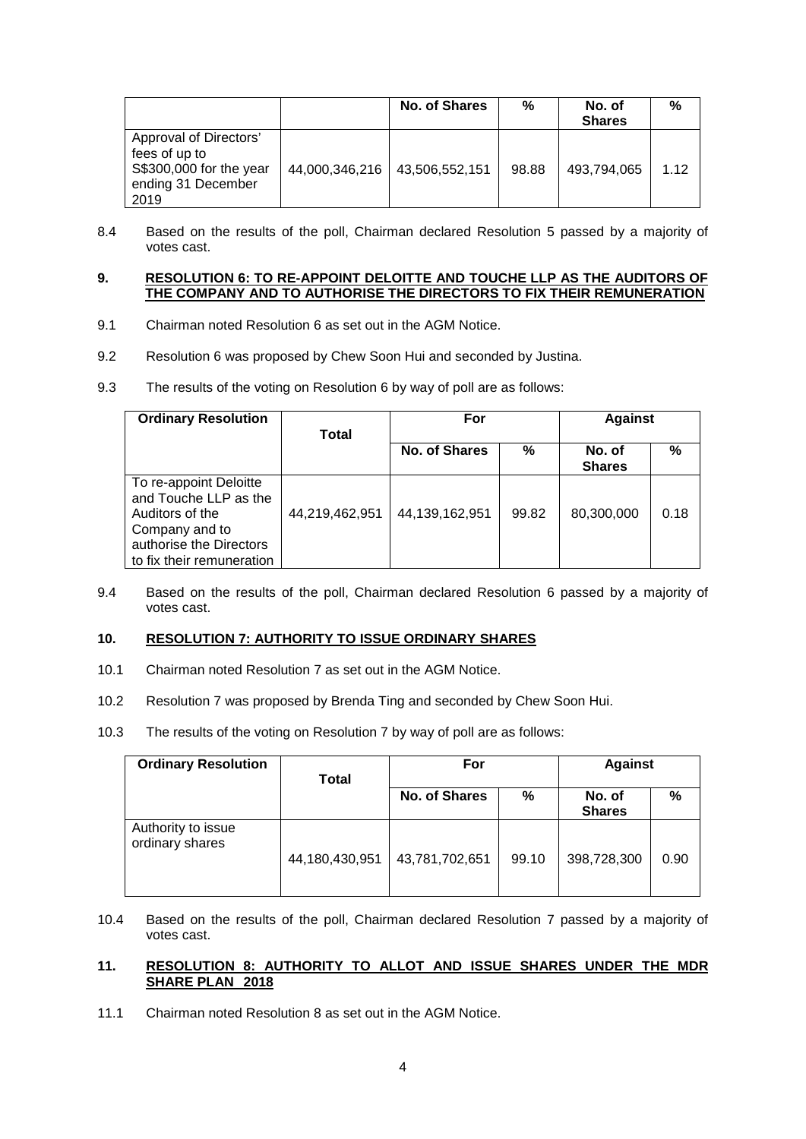|                                                                                                  |                | <b>No. of Shares</b> | %     | No. of<br><b>Shares</b> | %    |
|--------------------------------------------------------------------------------------------------|----------------|----------------------|-------|-------------------------|------|
| Approval of Directors'<br>fees of up to<br>S\$300,000 for the year<br>ending 31 December<br>2019 | 44,000,346,216 | 43,506,552,151       | 98.88 | 493.794.065             | 1.12 |

8.4 Based on the results of the poll, Chairman declared Resolution 5 passed by a majority of votes cast.

## **9. RESOLUTION 6: TO RE-APPOINT DELOITTE AND TOUCHE LLP AS THE AUDITORS OF THE COMPANY AND TO AUTHORISE THE DIRECTORS TO FIX THEIR REMUNERATION**

- 9.1 Chairman noted Resolution 6 as set out in the AGM Notice.
- 9.2 Resolution 6 was proposed by Chew Soon Hui and seconded by Justina.
- 9.3 The results of the voting on Resolution 6 by way of poll are as follows:

| <b>Ordinary Resolution</b>                                                                                                                   | Total          | For            |       | <b>Against</b>          |      |
|----------------------------------------------------------------------------------------------------------------------------------------------|----------------|----------------|-------|-------------------------|------|
|                                                                                                                                              |                | No. of Shares  | %     | No. of<br><b>Shares</b> | %    |
| To re-appoint Deloitte<br>and Touche LLP as the<br>Auditors of the<br>Company and to<br>authorise the Directors<br>to fix their remuneration | 44,219,462,951 | 44,139,162,951 | 99.82 | 80,300,000              | 0.18 |

9.4 Based on the results of the poll, Chairman declared Resolution 6 passed by a majority of votes cast.

## **10. RESOLUTION 7: AUTHORITY TO ISSUE ORDINARY SHARES**

- 10.1 Chairman noted Resolution 7 as set out in the AGM Notice.
- 10.2 Resolution 7 was proposed by Brenda Ting and seconded by Chew Soon Hui.
- 10.3 The results of the voting on Resolution 7 by way of poll are as follows:

| <b>Ordinary Resolution</b>            | Total          | For            |       | <b>Against</b>          |      |
|---------------------------------------|----------------|----------------|-------|-------------------------|------|
|                                       |                | No. of Shares  | %     | No. of<br><b>Shares</b> | %    |
| Authority to issue<br>ordinary shares | 44,180,430,951 | 43,781,702,651 | 99.10 | 398,728,300             | 0.90 |

10.4 Based on the results of the poll, Chairman declared Resolution 7 passed by a majority of votes cast.

# **11. RESOLUTION 8: AUTHORITY TO ALLOT AND ISSUE SHARES UNDER THE MDR SHARE PLAN 2018**

11.1 Chairman noted Resolution 8 as set out in the AGM Notice.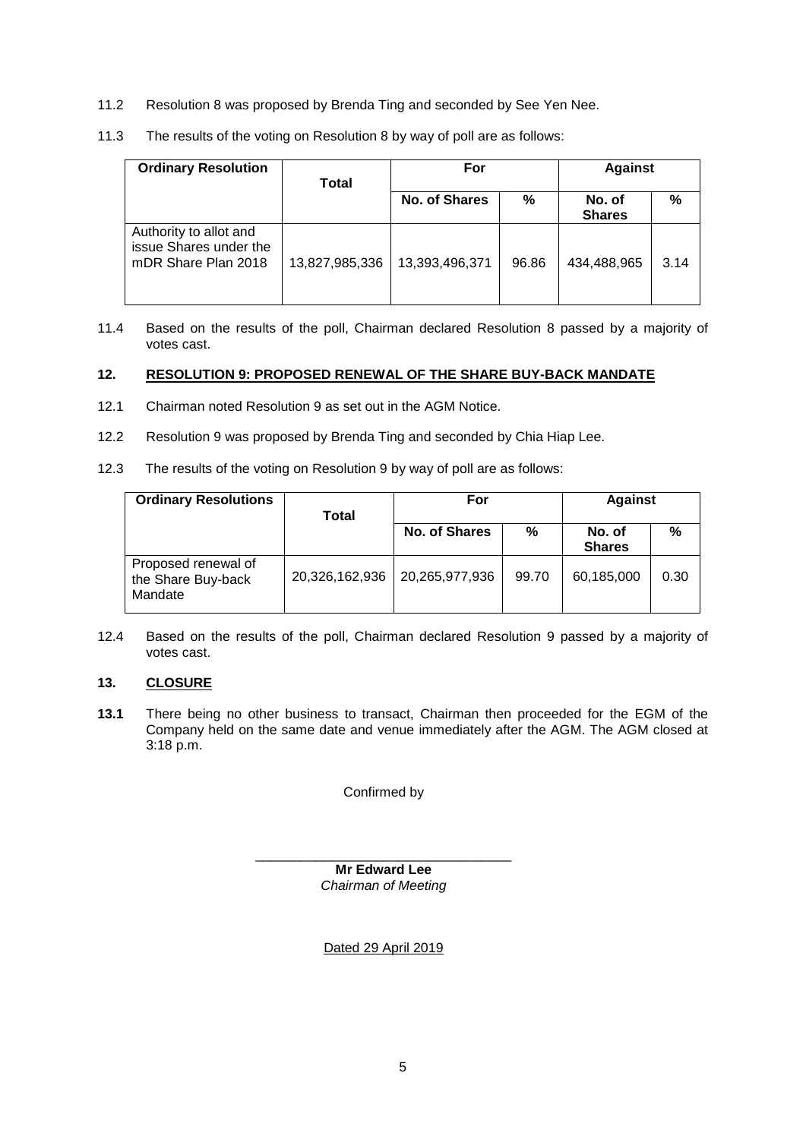- 11.2 Resolution 8 was proposed by Brenda Ting and seconded by See Yen Nee.
- 11.3 The results of the voting on Resolution 8 by way of poll are as follows:

| <b>Ordinary Resolution</b>                                              | Total          | For            |       | <b>Against</b>          |      |
|-------------------------------------------------------------------------|----------------|----------------|-------|-------------------------|------|
|                                                                         |                | No. of Shares  | %     | No. of<br><b>Shares</b> | %    |
| Authority to allot and<br>issue Shares under the<br>mDR Share Plan 2018 | 13,827,985,336 | 13,393,496,371 | 96.86 | 434.488.965             | 3.14 |

11.4 Based on the results of the poll, Chairman declared Resolution 8 passed by a majority of votes cast.

## **12. RESOLUTION 9: PROPOSED RENEWAL OF THE SHARE BUY-BACK MANDATE**

- 12.1 Chairman noted Resolution 9 as set out in the AGM Notice.
- 12.2 Resolution 9 was proposed by Brenda Ting and seconded by Chia Hiap Lee.
- 12.3 The results of the voting on Resolution 9 by way of poll are as follows:

| <b>Ordinary Resolutions</b>                          | Total          | For                  |       | <b>Against</b>          |      |
|------------------------------------------------------|----------------|----------------------|-------|-------------------------|------|
|                                                      |                | <b>No. of Shares</b> | %     | No. of<br><b>Shares</b> | %    |
| Proposed renewal of<br>the Share Buy-back<br>Mandate | 20,326,162,936 | 20,265,977,936       | 99.70 | 60,185,000              | 0.30 |

12.4 Based on the results of the poll, Chairman declared Resolution 9 passed by a majority of votes cast.

## **13. CLOSURE**

**13.1** There being no other business to transact, Chairman then proceeded for the EGM of the Company held on the same date and venue immediately after the AGM. The AGM closed at 3:18 p.m.

Confirmed by

\_\_\_\_\_\_\_\_\_\_\_\_\_\_\_\_\_\_\_\_\_\_\_\_\_\_\_\_\_\_\_\_\_\_ **Mr Edward Lee** *Chairman of Meeting* 

Dated 29 April 2019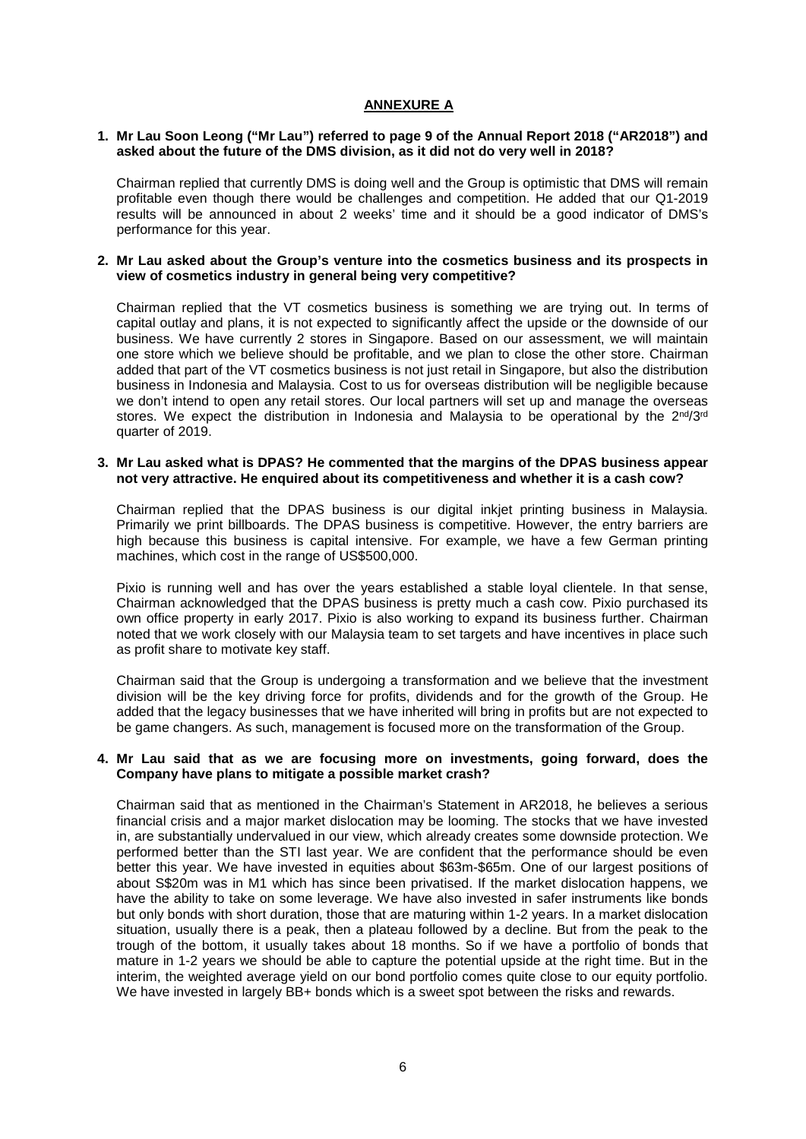## **ANNEXURE A**

#### **1. Mr Lau Soon Leong ("Mr Lau") referred to page 9 of the Annual Report 2018 ("AR2018") and asked about the future of the DMS division, as it did not do very well in 2018?**

Chairman replied that currently DMS is doing well and the Group is optimistic that DMS will remain profitable even though there would be challenges and competition. He added that our Q1-2019 results will be announced in about 2 weeks' time and it should be a good indicator of DMS's performance for this year.

#### **2. Mr Lau asked about the Group's venture into the cosmetics business and its prospects in view of cosmetics industry in general being very competitive?**

Chairman replied that the VT cosmetics business is something we are trying out. In terms of capital outlay and plans, it is not expected to significantly affect the upside or the downside of our business. We have currently 2 stores in Singapore. Based on our assessment, we will maintain one store which we believe should be profitable, and we plan to close the other store. Chairman added that part of the VT cosmetics business is not just retail in Singapore, but also the distribution business in Indonesia and Malaysia. Cost to us for overseas distribution will be negligible because we don't intend to open any retail stores. Our local partners will set up and manage the overseas stores. We expect the distribution in Indonesia and Malaysia to be operational by the 2<sup>nd</sup>/3<sup>rd</sup> quarter of 2019.

#### **3. Mr Lau asked what is DPAS? He commented that the margins of the DPAS business appear not very attractive. He enquired about its competitiveness and whether it is a cash cow?**

Chairman replied that the DPAS business is our digital inkjet printing business in Malaysia. Primarily we print billboards. The DPAS business is competitive. However, the entry barriers are high because this business is capital intensive. For example, we have a few German printing machines, which cost in the range of US\$500,000.

Pixio is running well and has over the years established a stable loyal clientele. In that sense, Chairman acknowledged that the DPAS business is pretty much a cash cow. Pixio purchased its own office property in early 2017. Pixio is also working to expand its business further. Chairman noted that we work closely with our Malaysia team to set targets and have incentives in place such as profit share to motivate key staff.

Chairman said that the Group is undergoing a transformation and we believe that the investment division will be the key driving force for profits, dividends and for the growth of the Group. He added that the legacy businesses that we have inherited will bring in profits but are not expected to be game changers. As such, management is focused more on the transformation of the Group.

### **4. Mr Lau said that as we are focusing more on investments, going forward, does the Company have plans to mitigate a possible market crash?**

Chairman said that as mentioned in the Chairman's Statement in AR2018, he believes a serious financial crisis and a major market dislocation may be looming. The stocks that we have invested in, are substantially undervalued in our view, which already creates some downside protection. We performed better than the STI last year. We are confident that the performance should be even better this year. We have invested in equities about \$63m-\$65m. One of our largest positions of about S\$20m was in M1 which has since been privatised. If the market dislocation happens, we have the ability to take on some leverage. We have also invested in safer instruments like bonds but only bonds with short duration, those that are maturing within 1-2 years. In a market dislocation situation, usually there is a peak, then a plateau followed by a decline. But from the peak to the trough of the bottom, it usually takes about 18 months. So if we have a portfolio of bonds that mature in 1-2 years we should be able to capture the potential upside at the right time. But in the interim, the weighted average yield on our bond portfolio comes quite close to our equity portfolio. We have invested in largely BB+ bonds which is a sweet spot between the risks and rewards.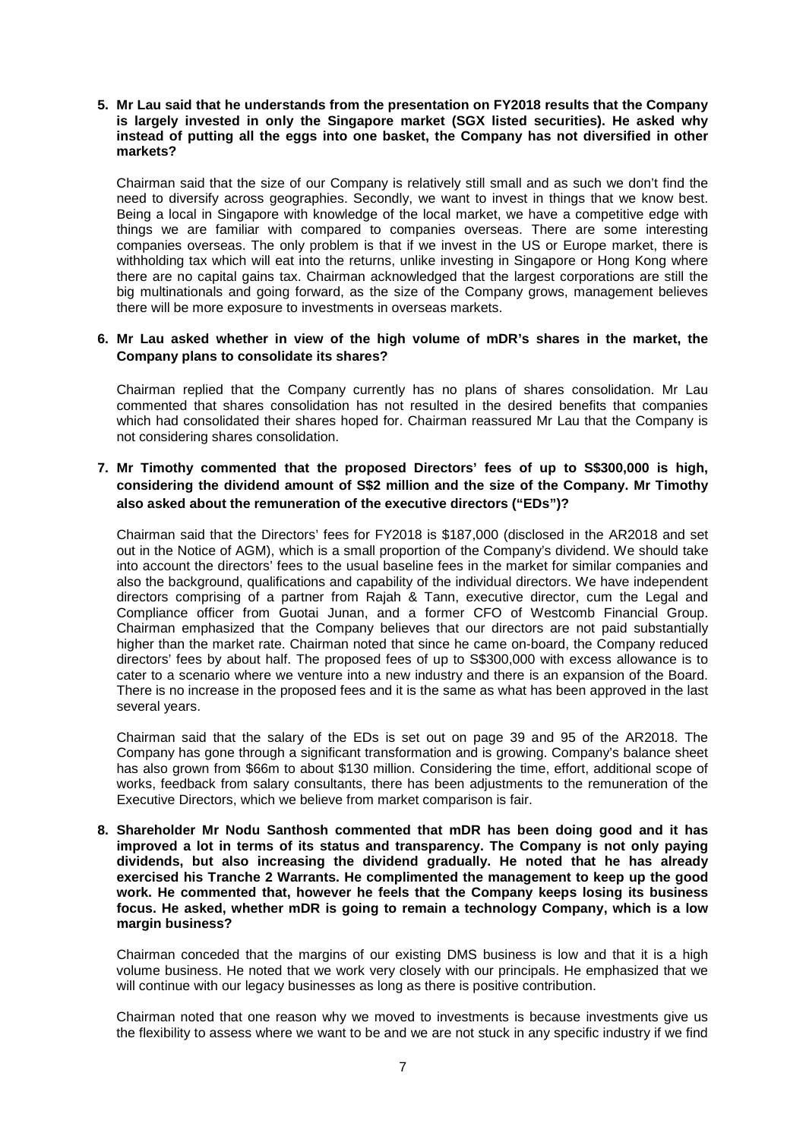**5. Mr Lau said that he understands from the presentation on FY2018 results that the Company is largely invested in only the Singapore market (SGX listed securities). He asked why instead of putting all the eggs into one basket, the Company has not diversified in other markets?**

Chairman said that the size of our Company is relatively still small and as such we don't find the need to diversify across geographies. Secondly, we want to invest in things that we know best. Being a local in Singapore with knowledge of the local market, we have a competitive edge with things we are familiar with compared to companies overseas. There are some interesting companies overseas. The only problem is that if we invest in the US or Europe market, there is withholding tax which will eat into the returns, unlike investing in Singapore or Hong Kong where there are no capital gains tax. Chairman acknowledged that the largest corporations are still the big multinationals and going forward, as the size of the Company grows, management believes there will be more exposure to investments in overseas markets.

## **6. Mr Lau asked whether in view of the high volume of mDR's shares in the market, the Company plans to consolidate its shares?**

Chairman replied that the Company currently has no plans of shares consolidation. Mr Lau commented that shares consolidation has not resulted in the desired benefits that companies which had consolidated their shares hoped for. Chairman reassured Mr Lau that the Company is not considering shares consolidation.

# **7. Mr Timothy commented that the proposed Directors' fees of up to S\$300,000 is high, considering the dividend amount of S\$2 million and the size of the Company. Mr Timothy also asked about the remuneration of the executive directors ("EDs")?**

Chairman said that the Directors' fees for FY2018 is \$187,000 (disclosed in the AR2018 and set out in the Notice of AGM), which is a small proportion of the Company's dividend. We should take into account the directors' fees to the usual baseline fees in the market for similar companies and also the background, qualifications and capability of the individual directors. We have independent directors comprising of a partner from Rajah & Tann, executive director, cum the Legal and Compliance officer from Guotai Junan, and a former CFO of Westcomb Financial Group. Chairman emphasized that the Company believes that our directors are not paid substantially higher than the market rate. Chairman noted that since he came on-board, the Company reduced directors' fees by about half. The proposed fees of up to S\$300,000 with excess allowance is to cater to a scenario where we venture into a new industry and there is an expansion of the Board. There is no increase in the proposed fees and it is the same as what has been approved in the last several years.

Chairman said that the salary of the EDs is set out on page 39 and 95 of the AR2018. The Company has gone through a significant transformation and is growing. Company's balance sheet has also grown from \$66m to about \$130 million. Considering the time, effort, additional scope of works, feedback from salary consultants, there has been adjustments to the remuneration of the Executive Directors, which we believe from market comparison is fair.

**8. Shareholder Mr Nodu Santhosh commented that mDR has been doing good and it has improved a lot in terms of its status and transparency. The Company is not only paying dividends, but also increasing the dividend gradually. He noted that he has already exercised his Tranche 2 Warrants. He complimented the management to keep up the good work. He commented that, however he feels that the Company keeps losing its business focus. He asked, whether mDR is going to remain a technology Company, which is a low margin business?** 

Chairman conceded that the margins of our existing DMS business is low and that it is a high volume business. He noted that we work very closely with our principals. He emphasized that we will continue with our legacy businesses as long as there is positive contribution.

Chairman noted that one reason why we moved to investments is because investments give us the flexibility to assess where we want to be and we are not stuck in any specific industry if we find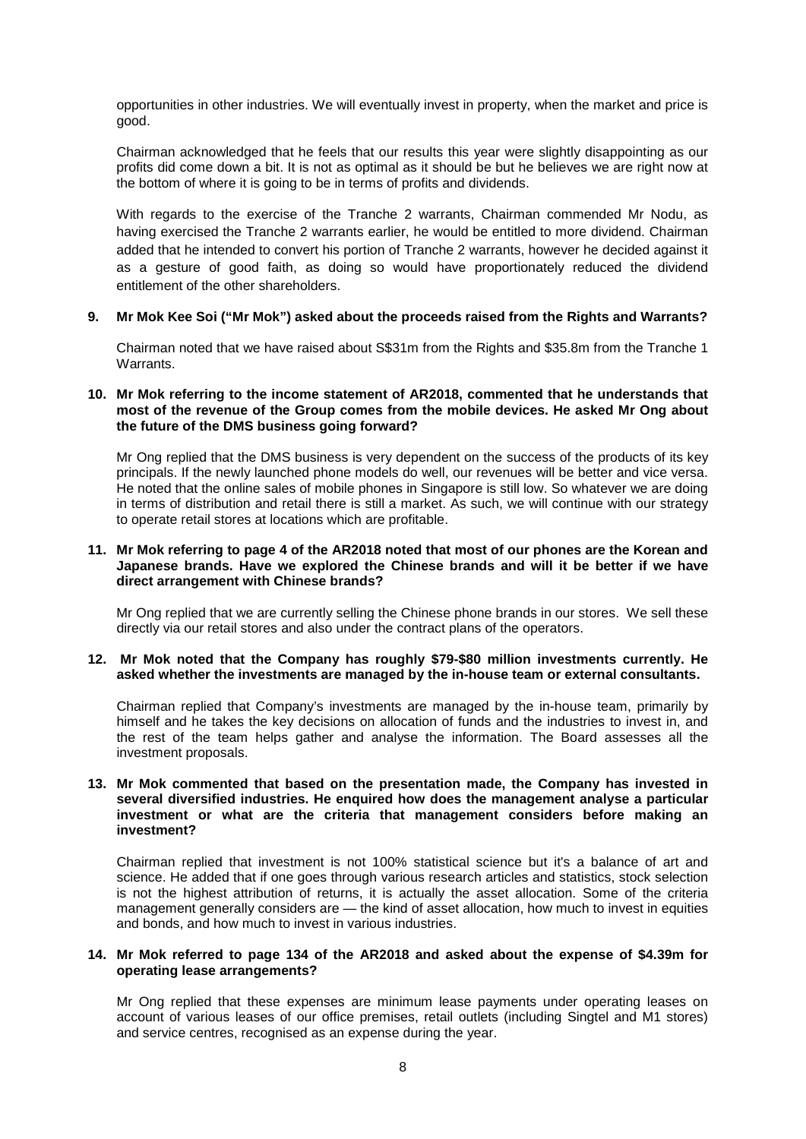opportunities in other industries. We will eventually invest in property, when the market and price is good.

Chairman acknowledged that he feels that our results this year were slightly disappointing as our profits did come down a bit. It is not as optimal as it should be but he believes we are right now at the bottom of where it is going to be in terms of profits and dividends.

With regards to the exercise of the Tranche 2 warrants, Chairman commended Mr Nodu, as having exercised the Tranche 2 warrants earlier, he would be entitled to more dividend. Chairman added that he intended to convert his portion of Tranche 2 warrants, however he decided against it as a gesture of good faith, as doing so would have proportionately reduced the dividend entitlement of the other shareholders.

### **9. Mr Mok Kee Soi ("Mr Mok") asked about the proceeds raised from the Rights and Warrants?**

Chairman noted that we have raised about S\$31m from the Rights and \$35.8m from the Tranche 1 Warrants.

### **10. Mr Mok referring to the income statement of AR2018, commented that he understands that most of the revenue of the Group comes from the mobile devices. He asked Mr Ong about the future of the DMS business going forward?**

Mr Ong replied that the DMS business is very dependent on the success of the products of its key principals. If the newly launched phone models do well, our revenues will be better and vice versa. He noted that the online sales of mobile phones in Singapore is still low. So whatever we are doing in terms of distribution and retail there is still a market. As such, we will continue with our strategy to operate retail stores at locations which are profitable.

#### **11. Mr Mok referring to page 4 of the AR2018 noted that most of our phones are the Korean and Japanese brands. Have we explored the Chinese brands and will it be better if we have direct arrangement with Chinese brands?**

Mr Ong replied that we are currently selling the Chinese phone brands in our stores. We sell these directly via our retail stores and also under the contract plans of the operators.

### **12. Mr Mok noted that the Company has roughly \$79-\$80 million investments currently. He asked whether the investments are managed by the in-house team or external consultants.**

Chairman replied that Company's investments are managed by the in-house team, primarily by himself and he takes the key decisions on allocation of funds and the industries to invest in, and the rest of the team helps gather and analyse the information. The Board assesses all the investment proposals.

### **13. Mr Mok commented that based on the presentation made, the Company has invested in several diversified industries. He enquired how does the management analyse a particular investment or what are the criteria that management considers before making an investment?**

Chairman replied that investment is not 100% statistical science but it's a balance of art and science. He added that if one goes through various research articles and statistics, stock selection is not the highest attribution of returns, it is actually the asset allocation. Some of the criteria management generally considers are — the kind of asset allocation, how much to invest in equities and bonds, and how much to invest in various industries.

### **14. Mr Mok referred to page 134 of the AR2018 and asked about the expense of \$4.39m for operating lease arrangements?**

Mr Ong replied that these expenses are minimum lease payments under operating leases on account of various leases of our office premises, retail outlets (including Singtel and M1 stores) and service centres, recognised as an expense during the year.